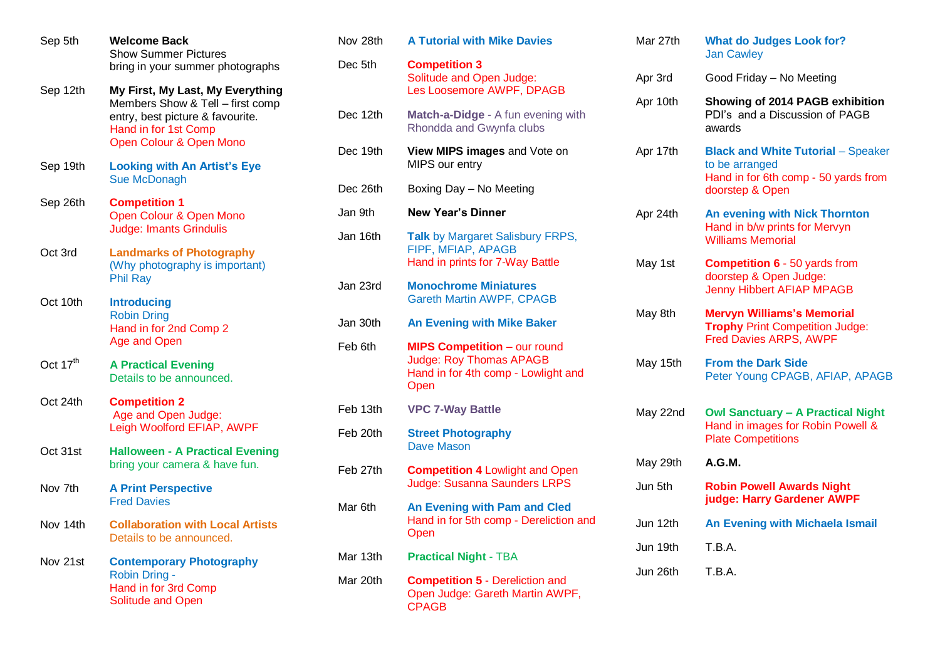| Sep 5th    | <b>Welcome Back</b><br><b>Show Summer Pictures</b><br>bring in your summer photographs                                                                      |
|------------|-------------------------------------------------------------------------------------------------------------------------------------------------------------|
| Sep 12th   | My First, My Last, My Everything<br>Members Show & Tell - first comp<br>entry, best picture & favourite.<br>Hand in for 1st Comp<br>Open Colour & Open Mono |
| Sep 19th   | <b>Looking with An Artist's Eye</b><br><b>Sue McDonagh</b>                                                                                                  |
| Sep 26th   | <b>Competition 1</b><br>Open Colour & Open Mono<br><b>Judge: Imants Grindulis</b>                                                                           |
| Oct 3rd    | <b>Landmarks of Photography</b><br>(Why photography is important)<br><b>Phil Ray</b>                                                                        |
| Oct 10th   | <b>Introducing</b><br><b>Robin Dring</b><br>Hand in for 2nd Comp 2<br>Age and Open                                                                          |
| Oct $17th$ | <b>A Practical Evening</b><br>Details to be announced.                                                                                                      |
| Oct 24th   | <b>Competition 2</b><br>Age and Open Judge:<br>Leigh Woolford EFIAP, AWPF                                                                                   |
| Oct 31st   | <b>Halloween - A Practical Evening</b><br>bring your camera & have fun.                                                                                     |
| Nov 7th    | <b>A Print Perspective</b><br><b>Fred Davies</b>                                                                                                            |
| Nov 14th   | <b>Collaboration with Local Artists</b><br>Details to be announced.                                                                                         |
| Nov 21st   | <b>Contemporary Photography</b><br>Robin Dring -<br>Hand in for 3rd Comp<br><b>Solitude and Open</b>                                                        |

| Nov 28th | <b>A Tutorial with Mike Davies</b>                                                                            |
|----------|---------------------------------------------------------------------------------------------------------------|
| Dec 5th  | <b>Competition 3</b><br>Solitude and Open Judge:<br>Les Loosemore AWPF, DPAGB                                 |
| Dec 12th | Match-a-Didge - A fun evening with<br>Rhondda and Gwynfa clubs                                                |
| Dec 19th | View MIPS images and Vote on<br>MIPS our entry                                                                |
| Dec 26th | Boxing Day - No Meeting                                                                                       |
| Jan 9th  | <b>New Year's Dinner</b>                                                                                      |
| Jan 16th | Talk by Margaret Salisbury FRPS,<br>FIPF, MFIAP, APAGB<br>Hand in prints for 7-Way Battle                     |
| Jan 23rd | <b>Monochrome Miniatures</b><br><b>Gareth Martin AWPF, CPAGB</b>                                              |
| Jan 30th | <b>An Evening with Mike Baker</b>                                                                             |
| Feb 6th  | <b>MIPS Competition - our round</b><br>Judge: Roy Thomas APAGB<br>Hand in for 4th comp - Lowlight and<br>Open |
| Feb 13th | <b>VPC 7-Way Battle</b>                                                                                       |
| Feb 20th | <b>Street Photography</b><br>Dave Mason                                                                       |
| Feb 27th | <b>Competition 4 Lowlight and Open</b><br><b>Judge: Susanna Saunders LRPS</b>                                 |
| Mar 6th  | An Evening with Pam and Cled<br>Hand in for 5th comp - Dereliction and<br>Open                                |
| Mar 13th | <b>Practical Night - TBA</b>                                                                                  |
| Mar 20th | <b>Competition 5 - Dereliction and</b><br>Open Judge: Gareth Martin AWPF,<br><b>CPAGB</b>                     |

| Mar 27th | <b>What do Judges Look for?</b><br><b>Jan Cawley</b>                                                                   |
|----------|------------------------------------------------------------------------------------------------------------------------|
| Apr 3rd  | Good Friday - No Meeting                                                                                               |
| Apr 10th | Showing of 2014 PAGB exhibition<br>PDI's and a Discussion of PAGB<br>awards                                            |
| Apr 17th | <b>Black and White Tutorial - Speaker</b><br>to be arranged<br>Hand in for 6th comp - 50 yards from<br>doorstep & Open |
| Apr 24th | <b>An evening with Nick Thornton</b><br>Hand in b/w prints for Mervyn<br><b>Williams Memorial</b>                      |
| May 1st  | <b>Competition 6 - 50 yards from</b><br>doorstep & Open Judge:<br><b>Jenny Hibbert AFIAP MPAGB</b>                     |
| May 8th  | <b>Mervyn Williams's Memorial</b><br><b>Trophy Print Competition Judge:</b><br><b>Fred Davies ARPS, AWPF</b>           |
| May 15th | <b>From the Dark Side</b><br>Peter Young CPAGB, AFIAP, APAGB                                                           |
| May 22nd | <b>Owl Sanctuary - A Practical Night</b><br>Hand in images for Robin Powell &<br><b>Plate Competitions</b>             |
| May 29th | A.G.M.                                                                                                                 |
| Jun 5th  | <b>Robin Powell Awards Night</b><br>judge: Harry Gardener AWPF                                                         |
| Jun 12th | An Evening with Michaela Ismail                                                                                        |
| Jun 19th | T.B.A.                                                                                                                 |
| Jun 26th | T.B.A.                                                                                                                 |